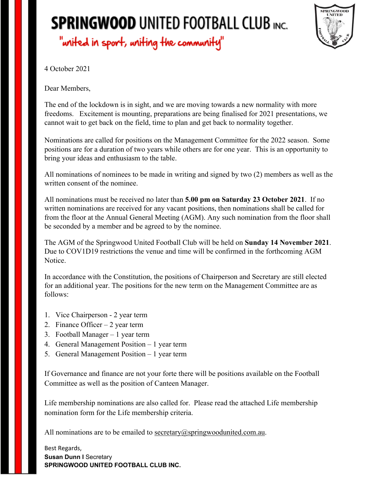## **SPRINGWOOD UNITED FOOTBALL CLUB INC.** "united in sport, uniting the community"



4 October 2021

Dear Members,

The end of the lockdown is in sight, and we are moving towards a new normality with more freedoms. Excitement is mounting, preparations are being finalised for 2021 presentations, we cannot wait to get back on the field, time to plan and get back to normality together.

Nominations are called for positions on the Management Committee for the 2022 season. Some positions are for a duration of two years while others are for one year. This is an opportunity to bring your ideas and enthusiasm to the table.

All nominations of nominees to be made in writing and signed by two (2) members as well as the written consent of the nominee.

All nominations must be received no later than **5.00 pm on Saturday 23 October 2021**. If no written nominations are received for any vacant positions, then nominations shall be called for from the floor at the Annual General Meeting (AGM). Any such nomination from the floor shall be seconded by a member and be agreed to by the nominee.

The AGM of the Springwood United Football Club will be held on **Sunday 14 November 2021**. Due to COV1D19 restrictions the venue and time will be confirmed in the forthcoming AGM Notice.

In accordance with the Constitution, the positions of Chairperson and Secretary are still elected for an additional year. The positions for the new term on the Management Committee are as follows:

- 1. Vice Chairperson 2 year term
- 2. Finance Officer 2 year term
- 3. Football Manager 1 year term
- 4. General Management Position 1 year term
- 5. General Management Position 1 year term

If Governance and finance are not your forte there will be positions available on the Football Committee as well as the position of Canteen Manager.

Life membership nominations are also called for. Please read the attached Life membership nomination form for the Life membership criteria.

All nominations are to be emailed to secretary@springwoodunited.com.au.

Best Regards, **Susan Dunn I Secretary SPRINGWOOD UNITED FOOTBALL CLUB INC.**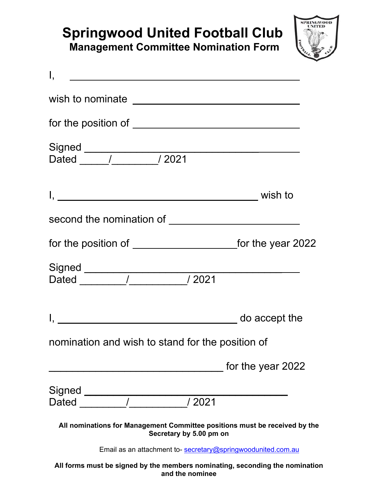## **Springwood United Football Club Management Committee Nomination Form**



| $\mathsf{I}, \mathsf{I}$                                                                              |                   |
|-------------------------------------------------------------------------------------------------------|-------------------|
| wish to nominate __________________________________                                                   |                   |
|                                                                                                       |                   |
|                                                                                                       |                   |
|                                                                                                       |                   |
|                                                                                                       |                   |
|                                                                                                       |                   |
|                                                                                                       |                   |
|                                                                                                       |                   |
| nomination and wish to stand for the position of                                                      |                   |
|                                                                                                       | for the year 2022 |
| Signed ____                                                                                           |                   |
| /2021<br>Dated                                                                                        |                   |
| All nominations for Management Committee positions must be received by the<br>Secretary by 5.00 pm on |                   |
| Email as an attachment to- secretary@springwoodunited.com.au                                          |                   |
| All forms must be signed by the members nominating, seconding the nomination                          |                   |

**All forms must be signed by the members nominating, seconding the nomination and the nominee**